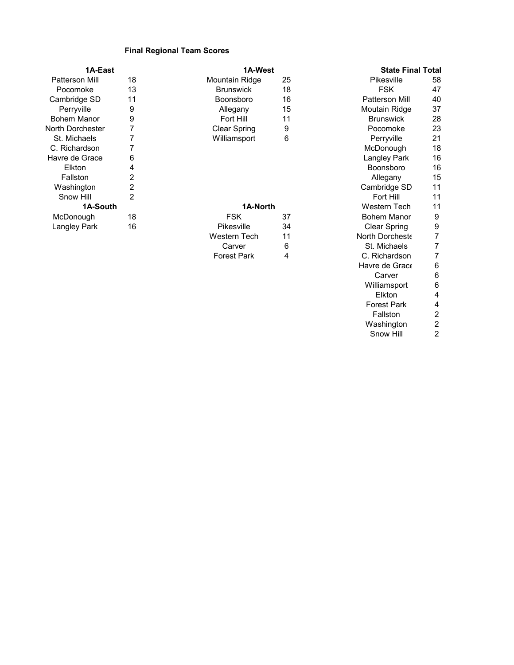## **Final Regional Team Scores**

| 1A-East          |  |
|------------------|--|
| Patterson Mill   |  |
| Pocomoke         |  |
| Cambridge SD     |  |
| Perryville       |  |
| Bohem Manor      |  |
| North Dorchester |  |
| St. Michaels     |  |
| C. Richardson    |  |
| Havre de Grace   |  |
| Elkton           |  |
| Fallston         |  |
| Washington       |  |
| Snow Hill        |  |
| 1A-South         |  |
| McDonough        |  |
| Langley Park     |  |
|                  |  |

## **1A-East 1A-West**

## **1A-South 1A-North**

| <b>FSK</b>         | 37  |
|--------------------|-----|
| Pikesville         | 34. |
| Western Tech       | 11  |
| Carver             | 6   |
| <b>Forest Park</b> | Δ   |

## 8 Mountain Ridge 25 Pikesville 58<br>3 Brunswick 18 FSK 47 Pocomoke 13 Brunswick 18 FSK 47 omsboro 16 Patterson Mill 40 Patterson Mill 40<br>15 Patterson Mill 40 erry 9 Allegany 15 Moutain Ridge 37<br>Perry 11 Moutain Ridge 37<br>Perry 11 Moutain Ridge 28 Bohem Manor 9 Fort Hill 11 Brunswick 28 North Dorchester 7 Clear Spring 9 Pocomoke 23 T 1888 Williamsport 6 1989 Perryville 21<br>T McDonough 18 C. Richardson 7 McDonough 18 e 6 Langley Park 16 Langley Park 16 Langley Park 16 Langley Park 16 Langley Park 16 Langley Park 16 Langley Park 16 Langley Park 16 Langley Park 16 Langley Park 16 Langley Park 16 Langley Park 16 Langley Park 16 Langley Pa Elkton 4 Boonsboro 16 Fallston 2 Allegany 15 Participants of the Cambridge SD 11<br>
2 Cambridge SD 11<br>
2 Fort Hill 11 Snow Hill 2 Fort Hill 11 Western Tech 11<br>Bohem Manor 9 eration of the USA of the ST and the ST and the ST and the ST and the ST and the ST and the ST and the ST and <br>McDonough 18 September 19 and the ST and the ST and the ST and the ST and the ST and the ST and the ST and the<br> Clear Spring 9<br>16 Porcheste 2 North Dorcheste 7<br>St. Michaels 7 St. Michaels 7<br>C. Richardson 7 C. Richardson Havre de Grace 6<br>Carver 6 Carver 6<br>illiamsport 6 Williamsport 6<br>Elkton 4 Elkton 4<br>Prest Park 4 Forest Park 4 Fallston 2<br>/ashington 2 Washington 2<br>Snow Hill 2 Snow Hill **State Final Total**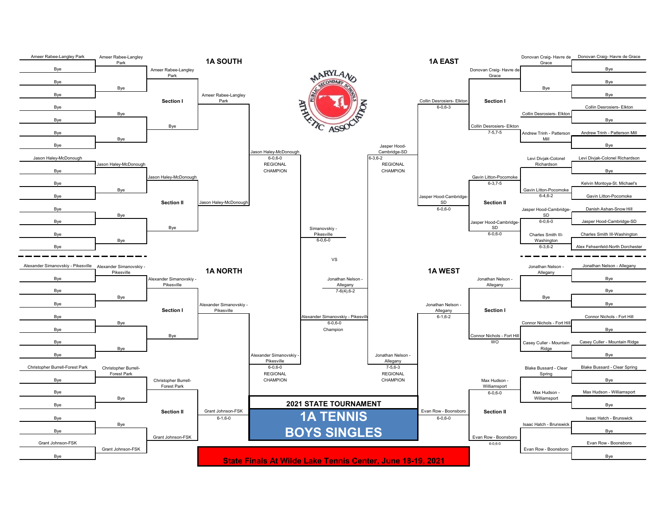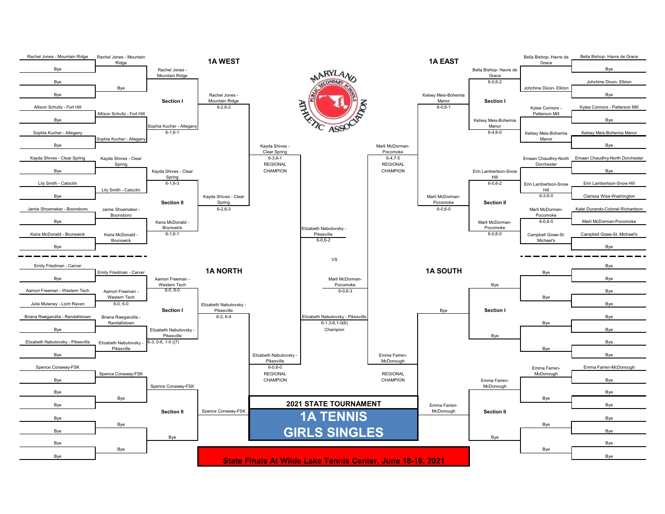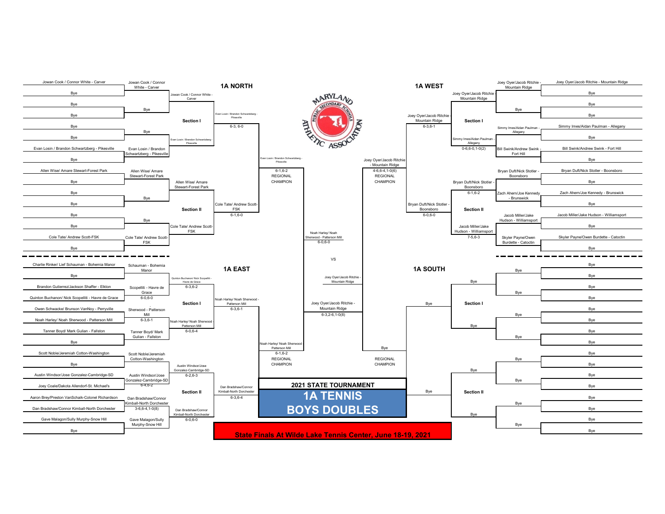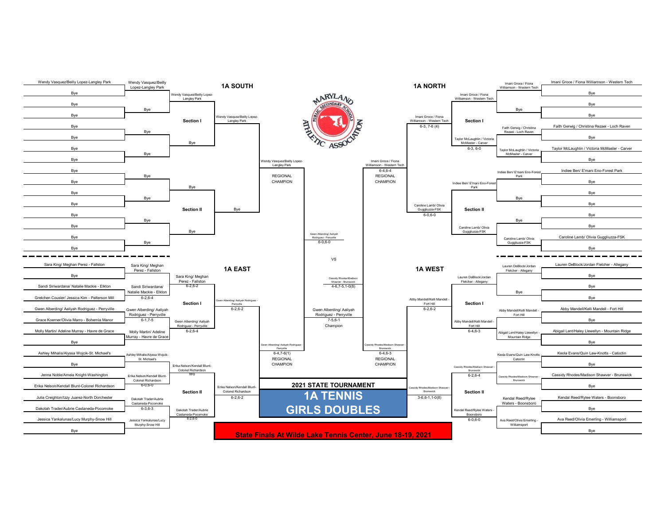